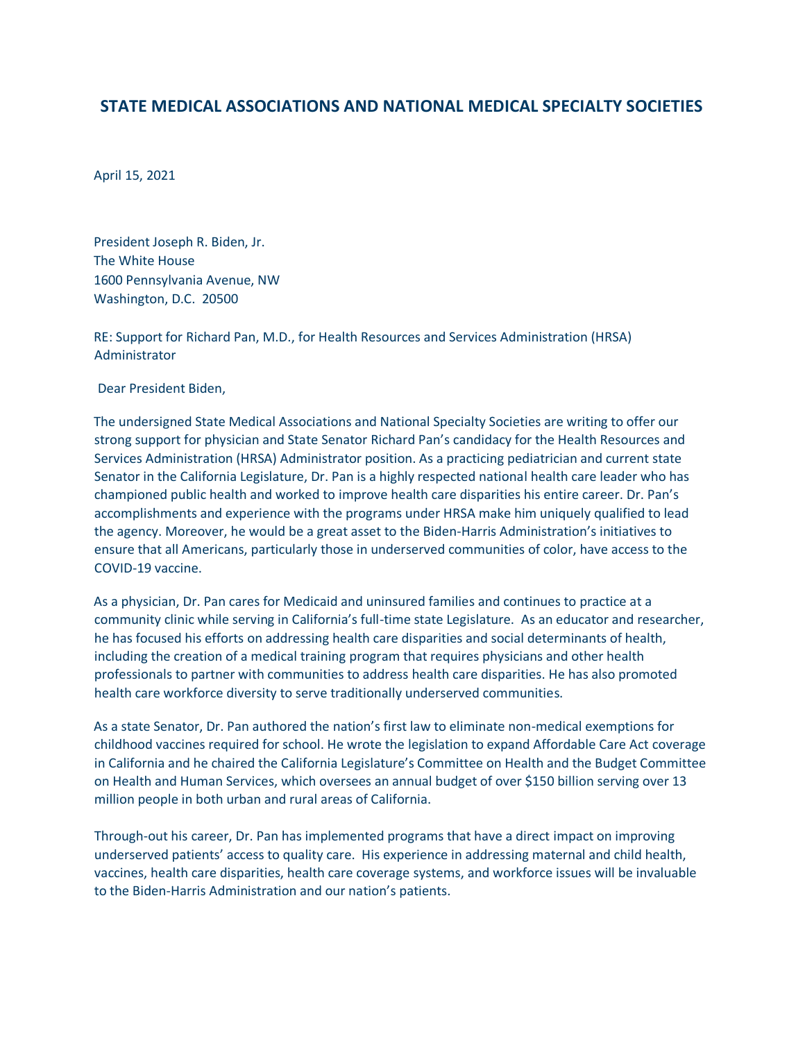## **STATE MEDICAL ASSOCIATIONS AND NATIONAL MEDICAL SPECIALTY SOCIETIES**

April 15, 2021

President Joseph R. Biden, Jr. The White House 1600 Pennsylvania Avenue, NW Washington, D.C. 20500

RE: Support for Richard Pan, M.D., for Health Resources and Services Administration (HRSA) Administrator

Dear President Biden,

The undersigned State Medical Associations and National Specialty Societies are writing to offer our strong support for physician and State Senator Richard Pan's candidacy for the Health Resources and Services Administration (HRSA) Administrator position. As a practicing pediatrician and current state Senator in the California Legislature, Dr. Pan is a highly respected national health care leader who has championed public health and worked to improve health care disparities his entire career. Dr. Pan's accomplishments and experience with the programs under HRSA make him uniquely qualified to lead the agency. Moreover, he would be a great asset to the Biden-Harris Administration's initiatives to ensure that all Americans, particularly those in underserved communities of color, have access to the COVID-19 vaccine.

As a physician, Dr. Pan cares for Medicaid and uninsured families and continues to practice at a community clinic while serving in California's full-time state Legislature. As an educator and researcher, he has focused his efforts on addressing health care disparities and social determinants of health, including the creation of a medical training program that requires physicians and other health professionals to partner with communities to address health care disparities. He has also promoted health care workforce diversity to serve traditionally underserved communities.

As a state Senator, Dr. Pan authored the nation's first law to eliminate non-medical exemptions for childhood vaccines required for school. He wrote the legislation to expand Affordable Care Act coverage in California and he chaired the California Legislature's Committee on Health and the Budget Committee on Health and Human Services, which oversees an annual budget of over \$150 billion serving over 13 million people in both urban and rural areas of California.

Through-out his career, Dr. Pan has implemented programs that have a direct impact on improving underserved patients' access to quality care. His experience in addressing maternal and child health, vaccines, health care disparities, health care coverage systems, and workforce issues will be invaluable to the Biden-Harris Administration and our nation's patients.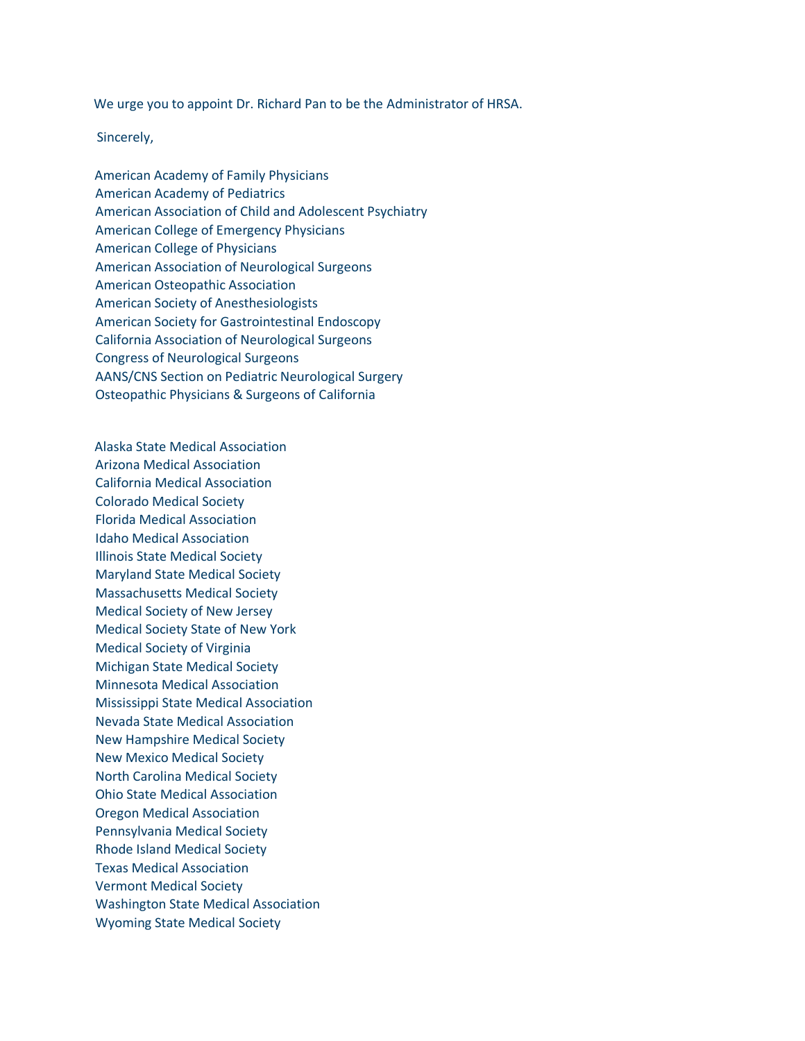We urge you to appoint Dr. Richard Pan to be the Administrator of HRSA.

Sincerely,

American Academy of Family Physicians American Academy of Pediatrics American Association of Child and Adolescent Psychiatry American College of Emergency Physicians American College of Physicians American Association of Neurological Surgeons American Osteopathic Association American Society of Anesthesiologists American Society for Gastrointestinal Endoscopy California Association of Neurological Surgeons Congress of Neurological Surgeons AANS/CNS Section on Pediatric Neurological Surgery Osteopathic Physicians & Surgeons of California

Alaska State Medical Association Arizona Medical Association California Medical Association Colorado Medical Society Florida Medical Association Idaho Medical Association Illinois State Medical Society Maryland State Medical Society Massachusetts Medical Society Medical Society of New Jersey Medical Society State of New York Medical Society of Virginia Michigan State Medical Society Minnesota Medical Association Mississippi State Medical Association Nevada State Medical Association New Hampshire Medical Society New Mexico Medical Society North Carolina Medical Society Ohio State Medical Association Oregon Medical Association Pennsylvania Medical Society Rhode Island Medical Society Texas Medical Association Vermont Medical Society Washington State Medical Association Wyoming State Medical Society